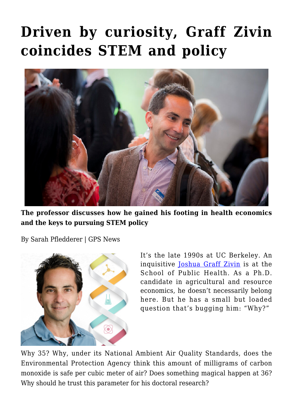## **[Driven by curiosity, Graff Zivin](https://gpsnews.ucsd.edu/driven-by-curiosity-graff-zivin-coincides-stem-and-policy/) [coincides STEM and policy](https://gpsnews.ucsd.edu/driven-by-curiosity-graff-zivin-coincides-stem-and-policy/)**



**The professor discusses how he gained his footing in health economics and the keys to pursuing STEM policy**

By Sarah Pfledderer | GPS News



It's the late 1990s at UC Berkeley. An inquisitive [Joshua Graff Zivin](https://gps.ucsd.edu/faculty-directory/joshua-graff-zivin.html) is at the School of Public Health. As a Ph.D. candidate in agricultural and resource economics, he doesn't necessarily belong here. But he has a small but loaded question that's bugging him: "Why?"

Why 35? Why, under its National Ambient Air Quality Standards, does the Environmental Protection Agency think this amount of milligrams of carbon monoxide is safe per cubic meter of air? Does something magical happen at 36? Why should he trust this parameter for his doctoral research?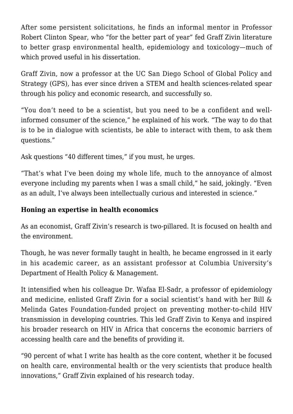After some persistent solicitations, he finds an informal mentor in Professor Robert Clinton Spear, who "for the better part of year" fed Graff Zivin literature to better grasp environmental health, epidemiology and toxicology—much of which proved useful in his dissertation.

Graff Zivin, now a professor at the UC San Diego School of Global Policy and Strategy (GPS), has ever since driven a STEM and health sciences-related spear through his policy and economic research, and successfully so.

"You don't need to be a scientist, but you need to be a confident and wellinformed consumer of the science," he explained of his work. "The way to do that is to be in dialogue with scientists, be able to interact with them, to ask them questions."

Ask questions "40 different times," if you must, he urges.

"That's what I've been doing my whole life, much to the annoyance of almost everyone including my parents when I was a small child," he said, jokingly. "Even as an adult, I've always been intellectually curious and interested in science."

## **Honing an expertise in health economics**

As an economist, Graff Zivin's research is two-pillared. It is focused on health and the environment.

Though, he was never formally taught in health, he became engrossed in it early in his academic career, as an assistant professor at Columbia University's Department of Health Policy & Management.

It intensified when his colleague Dr. Wafaa El-Sadr, a professor of epidemiology and medicine, enlisted Graff Zivin for a social scientist's hand with her Bill & Melinda Gates Foundation-funded project on preventing mother-to-child HIV transmission in developing countries. This led Graff Zivin to Kenya and inspired his broader research on HIV in Africa that concerns the economic barriers of accessing health care and the benefits of providing it.

"90 percent of what I write has health as the core content, whether it be focused on health care, environmental health or the very scientists that produce health innovations," Graff Zivin explained of his research today.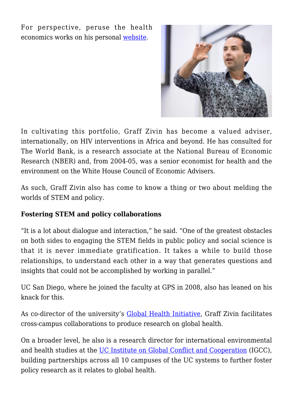For perspective, peruse the health economics works on his personal [website.](https://works.bepress.com/josh_graffzivin/)



In cultivating this portfolio, Graff Zivin has become a valued adviser, internationally, on HIV interventions in Africa and beyond. He has consulted for The World Bank, is a research associate at the National Bureau of Economic Research (NBER) and, from 2004-05, was a senior economist for health and the environment on the White House Council of Economic Advisers.

As such, Graff Zivin also has come to know a thing or two about melding the worlds of STEM and policy.

## **Fostering STEM and policy collaborations**

"It is a lot about dialogue and interaction," he said. "One of the greatest obstacles on both sides to engaging the STEM fields in public policy and social science is that it is never immediate gratification. It takes a while to build those relationships, to understand each other in a way that generates questions and insights that could not be accomplished by working in parallel."

UC San Diego, where he joined the faculty at GPS in 2008, also has leaned on his knack for this.

As co-director of the university's **Global Health Initiative**, Graff Zivin facilitates cross-campus collaborations to produce research on global health.

On a broader level, he also is a research director for international environmental and health studies at the [UC Institute on Global Conflict and Cooperation](http://igcc.ucsd.edu/) (IGCC), building partnerships across all 10 campuses of the UC systems to further foster policy research as it relates to global health.